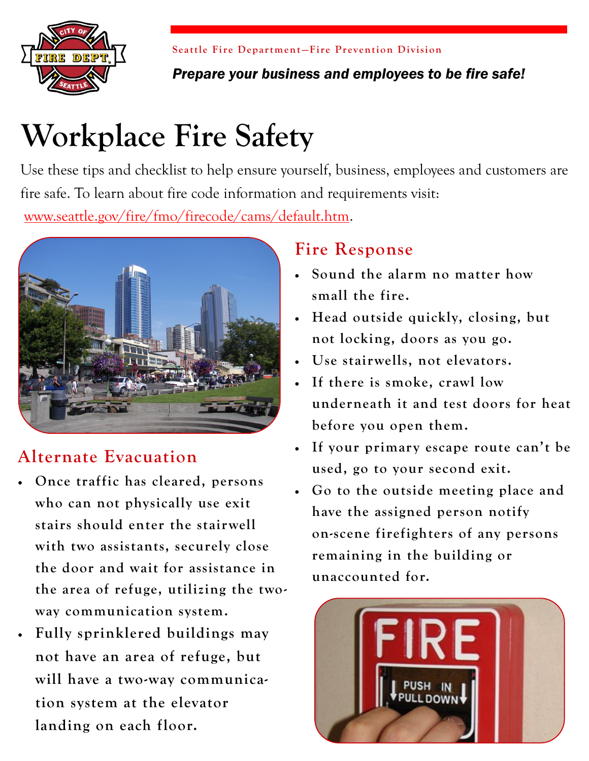

**Seattle Fire Department-Fire Prevention Division** 

*Prepare your business and employees to be fire safe!*

# **Workplace Fire Safety**

Use these tips and checklist to help ensure yourself, business, employees and customers are fire safe. To learn about fire code information and requirements visit:

[www.seattle.gov/fire/fmo/firecode/cams/default.htm.](http://www.seattle.gov/fire/fmo/firecode/cams/default.htm.)



# **Alternate Evacuation**

- **Once traffic has cleared, persons who can not physically use exit stairs should enter the stairwell with two assistants, securely close the door and wait for assistance in the area of refuge, utilizing the twoway communication system.**
- **Fully sprinklered buildings may not have an area of refuge, but will have a two-way communication system at the elevator landing on each floor.**

## **Fire Response**

- **Sound the alarm no matter how small the fire.**
- **Head outside quickly, closing, but not locking, doors as you go.**
- **Use stairwells, not elevators.**
- **If there is smoke, crawl low underneath it and test doors for heat before you open them.**
- **If your primary escape route can't be used, go to your second exit.**
- **Go to the outside meeting place and have the assigned person notify on-scene firefighters of any persons remaining in the building or unaccounted for.**